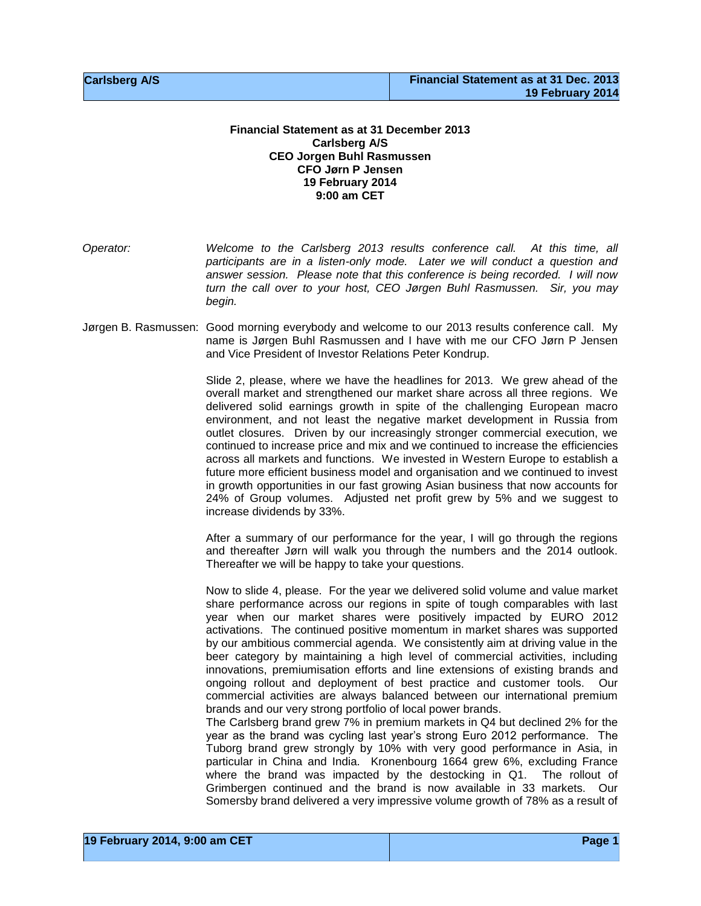## **Financial Statement as at 31 December 2013 Carlsberg A/S CEO Jorgen Buhl Rasmussen CFO Jørn P Jensen 19 February 2014 9:00 am CET**

*Operator: Welcome to the Carlsberg 2013 results conference call. At this time, all participants are in a listen-only mode. Later we will conduct a question and answer session. Please note that this conference is being recorded. I will now turn the call over to your host, CEO Jørgen Buhl Rasmussen. Sir, you may begin.*

Jørgen B. Rasmussen: Good morning everybody and welcome to our 2013 results conference call. My name is Jørgen Buhl Rasmussen and I have with me our CFO Jørn P Jensen and Vice President of Investor Relations Peter Kondrup.

> Slide 2, please, where we have the headlines for 2013. We grew ahead of the overall market and strengthened our market share across all three regions. We delivered solid earnings growth in spite of the challenging European macro environment, and not least the negative market development in Russia from outlet closures. Driven by our increasingly stronger commercial execution, we continued to increase price and mix and we continued to increase the efficiencies across all markets and functions. We invested in Western Europe to establish a future more efficient business model and organisation and we continued to invest in growth opportunities in our fast growing Asian business that now accounts for 24% of Group volumes. Adjusted net profit grew by 5% and we suggest to increase dividends by 33%.

> After a summary of our performance for the year, I will go through the regions and thereafter Jørn will walk you through the numbers and the 2014 outlook. Thereafter we will be happy to take your questions.

> Now to slide 4, please. For the year we delivered solid volume and value market share performance across our regions in spite of tough comparables with last year when our market shares were positively impacted by EURO 2012 activations. The continued positive momentum in market shares was supported by our ambitious commercial agenda. We consistently aim at driving value in the beer category by maintaining a high level of commercial activities, including innovations, premiumisation efforts and line extensions of existing brands and ongoing rollout and deployment of best practice and customer tools. Our commercial activities are always balanced between our international premium brands and our very strong portfolio of local power brands.

> The Carlsberg brand grew 7% in premium markets in Q4 but declined 2% for the year as the brand was cycling last year's strong Euro 2012 performance. The Tuborg brand grew strongly by 10% with very good performance in Asia, in particular in China and India. Kronenbourg 1664 grew 6%, excluding France where the brand was impacted by the destocking in Q1. The rollout of Grimbergen continued and the brand is now available in 33 markets. Our Somersby brand delivered a very impressive volume growth of 78% as a result of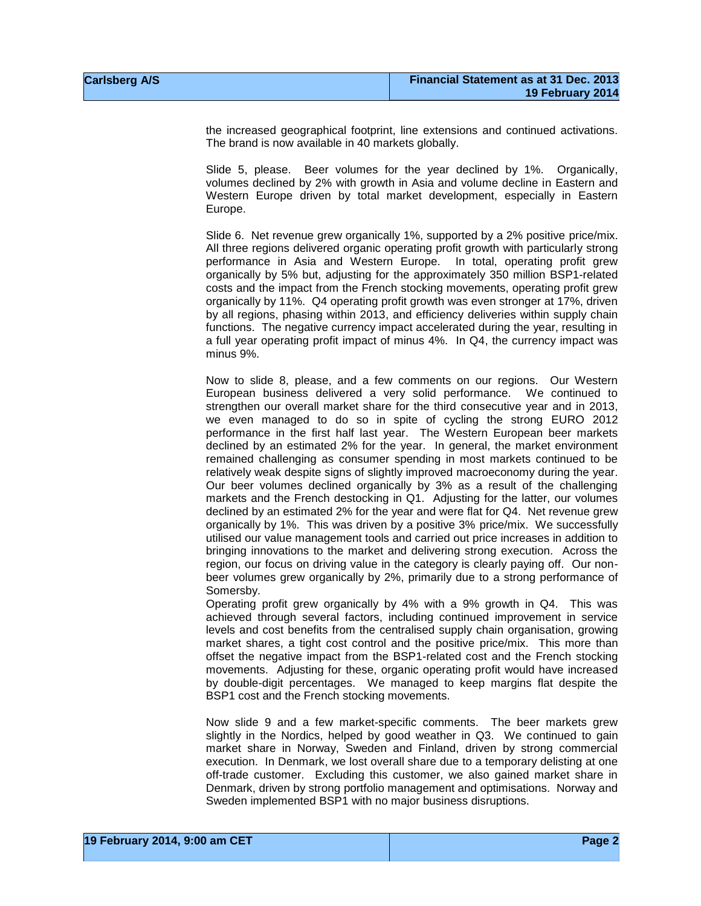the increased geographical footprint, line extensions and continued activations. The brand is now available in 40 markets globally.

Slide 5, please. Beer volumes for the year declined by 1%. Organically, volumes declined by 2% with growth in Asia and volume decline in Eastern and Western Europe driven by total market development, especially in Eastern Europe.

Slide 6. Net revenue grew organically 1%, supported by a 2% positive price/mix. All three regions delivered organic operating profit growth with particularly strong performance in Asia and Western Europe. In total, operating profit grew organically by 5% but, adjusting for the approximately 350 million BSP1-related costs and the impact from the French stocking movements, operating profit grew organically by 11%. Q4 operating profit growth was even stronger at 17%, driven by all regions, phasing within 2013, and efficiency deliveries within supply chain functions. The negative currency impact accelerated during the year, resulting in a full year operating profit impact of minus 4%. In Q4, the currency impact was minus 9%.

Now to slide 8, please, and a few comments on our regions. Our Western European business delivered a very solid performance. We continued to strengthen our overall market share for the third consecutive year and in 2013, we even managed to do so in spite of cycling the strong EURO 2012 performance in the first half last year. The Western European beer markets declined by an estimated 2% for the year. In general, the market environment remained challenging as consumer spending in most markets continued to be relatively weak despite signs of slightly improved macroeconomy during the year. Our beer volumes declined organically by 3% as a result of the challenging markets and the French destocking in Q1. Adjusting for the latter, our volumes declined by an estimated 2% for the year and were flat for Q4. Net revenue grew organically by 1%. This was driven by a positive 3% price/mix. We successfully utilised our value management tools and carried out price increases in addition to bringing innovations to the market and delivering strong execution. Across the region, our focus on driving value in the category is clearly paying off. Our nonbeer volumes grew organically by 2%, primarily due to a strong performance of Somersby.

Operating profit grew organically by 4% with a 9% growth in Q4. This was achieved through several factors, including continued improvement in service levels and cost benefits from the centralised supply chain organisation, growing market shares, a tight cost control and the positive price/mix. This more than offset the negative impact from the BSP1-related cost and the French stocking movements. Adjusting for these, organic operating profit would have increased by double-digit percentages. We managed to keep margins flat despite the BSP1 cost and the French stocking movements.

Now slide 9 and a few market-specific comments. The beer markets grew slightly in the Nordics, helped by good weather in Q3. We continued to gain market share in Norway, Sweden and Finland, driven by strong commercial execution. In Denmark, we lost overall share due to a temporary delisting at one off-trade customer. Excluding this customer, we also gained market share in Denmark, driven by strong portfolio management and optimisations. Norway and Sweden implemented BSP1 with no major business disruptions.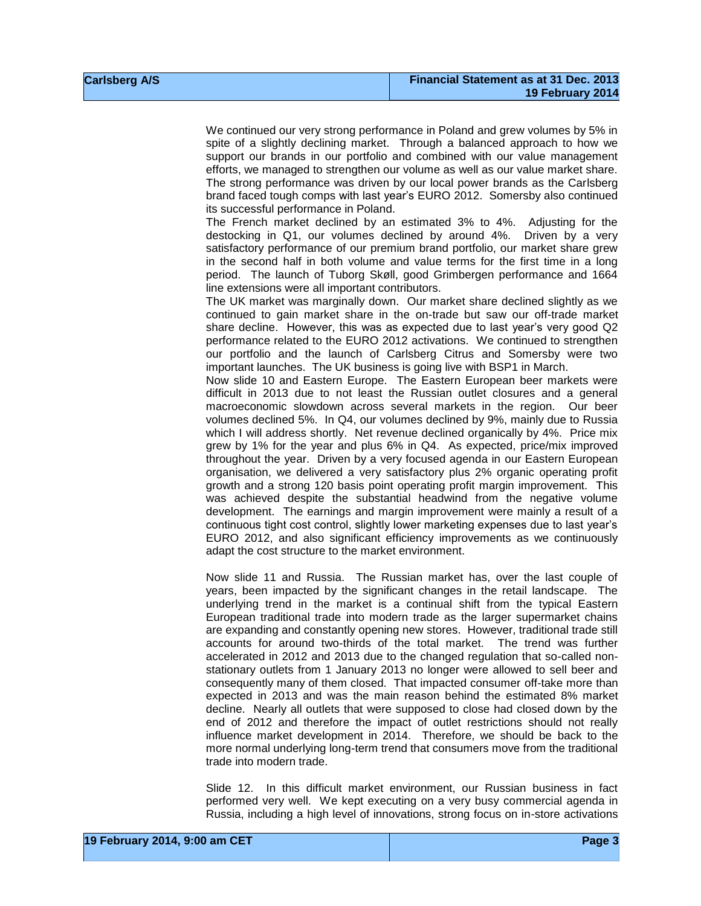We continued our very strong performance in Poland and grew volumes by 5% in spite of a slightly declining market. Through a balanced approach to how we support our brands in our portfolio and combined with our value management efforts, we managed to strengthen our volume as well as our value market share. The strong performance was driven by our local power brands as the Carlsberg brand faced tough comps with last year's EURO 2012. Somersby also continued its successful performance in Poland.

The French market declined by an estimated 3% to 4%. Adjusting for the destocking in Q1, our volumes declined by around 4%. Driven by a very satisfactory performance of our premium brand portfolio, our market share grew in the second half in both volume and value terms for the first time in a long period. The launch of Tuborg Skøll, good Grimbergen performance and 1664 line extensions were all important contributors.

The UK market was marginally down. Our market share declined slightly as we continued to gain market share in the on-trade but saw our off-trade market share decline. However, this was as expected due to last year's very good Q2 performance related to the EURO 2012 activations. We continued to strengthen our portfolio and the launch of Carlsberg Citrus and Somersby were two important launches. The UK business is going live with BSP1 in March.

Now slide 10 and Eastern Europe. The Eastern European beer markets were difficult in 2013 due to not least the Russian outlet closures and a general macroeconomic slowdown across several markets in the region. Our beer volumes declined 5%. In Q4, our volumes declined by 9%, mainly due to Russia which I will address shortly. Net revenue declined organically by 4%. Price mix grew by 1% for the year and plus 6% in Q4. As expected, price/mix improved throughout the year. Driven by a very focused agenda in our Eastern European organisation, we delivered a very satisfactory plus 2% organic operating profit growth and a strong 120 basis point operating profit margin improvement. This was achieved despite the substantial headwind from the negative volume development. The earnings and margin improvement were mainly a result of a continuous tight cost control, slightly lower marketing expenses due to last year's EURO 2012, and also significant efficiency improvements as we continuously adapt the cost structure to the market environment.

Now slide 11 and Russia. The Russian market has, over the last couple of years, been impacted by the significant changes in the retail landscape. The underlying trend in the market is a continual shift from the typical Eastern European traditional trade into modern trade as the larger supermarket chains are expanding and constantly opening new stores. However, traditional trade still accounts for around two-thirds of the total market. The trend was further accelerated in 2012 and 2013 due to the changed regulation that so-called nonstationary outlets from 1 January 2013 no longer were allowed to sell beer and consequently many of them closed. That impacted consumer off-take more than expected in 2013 and was the main reason behind the estimated 8% market decline. Nearly all outlets that were supposed to close had closed down by the end of 2012 and therefore the impact of outlet restrictions should not really influence market development in 2014. Therefore, we should be back to the more normal underlying long-term trend that consumers move from the traditional trade into modern trade.

Slide 12. In this difficult market environment, our Russian business in fact performed very well. We kept executing on a very busy commercial agenda in Russia, including a high level of innovations, strong focus on in-store activations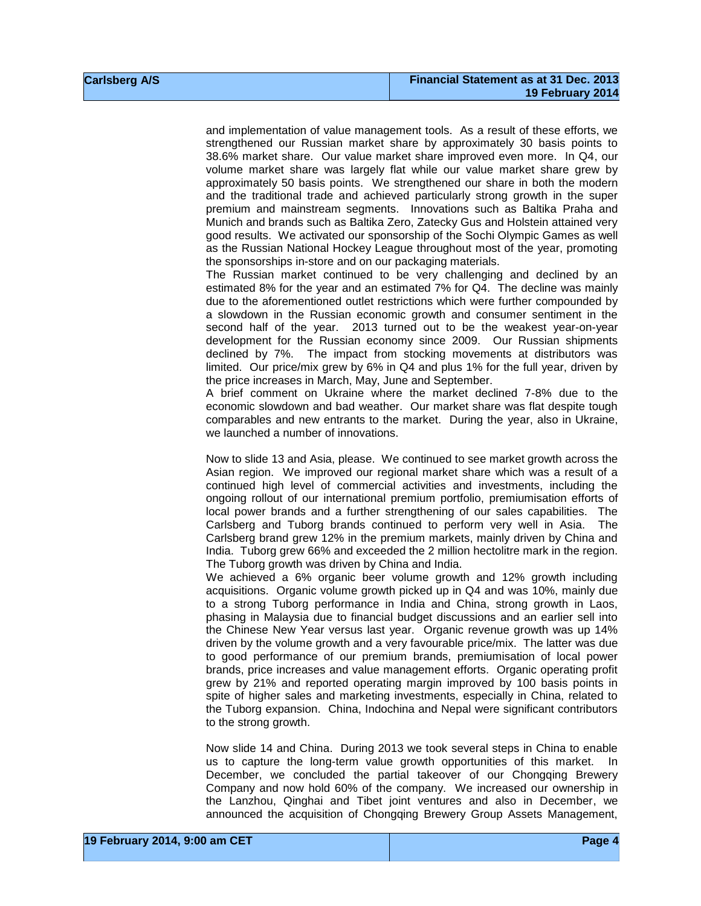and implementation of value management tools. As a result of these efforts, we strengthened our Russian market share by approximately 30 basis points to 38.6% market share. Our value market share improved even more. In Q4, our volume market share was largely flat while our value market share grew by approximately 50 basis points. We strengthened our share in both the modern and the traditional trade and achieved particularly strong growth in the super premium and mainstream segments. Innovations such as Baltika Praha and Munich and brands such as Baltika Zero, Zatecky Gus and Holstein attained very good results. We activated our sponsorship of the Sochi Olympic Games as well as the Russian National Hockey League throughout most of the year, promoting the sponsorships in-store and on our packaging materials.

The Russian market continued to be very challenging and declined by an estimated 8% for the year and an estimated 7% for Q4. The decline was mainly due to the aforementioned outlet restrictions which were further compounded by a slowdown in the Russian economic growth and consumer sentiment in the second half of the year. 2013 turned out to be the weakest year-on-year development for the Russian economy since 2009. Our Russian shipments declined by 7%. The impact from stocking movements at distributors was limited. Our price/mix grew by 6% in Q4 and plus 1% for the full year, driven by the price increases in March, May, June and September.

A brief comment on Ukraine where the market declined 7-8% due to the economic slowdown and bad weather. Our market share was flat despite tough comparables and new entrants to the market. During the year, also in Ukraine, we launched a number of innovations.

Now to slide 13 and Asia, please. We continued to see market growth across the Asian region. We improved our regional market share which was a result of a continued high level of commercial activities and investments, including the ongoing rollout of our international premium portfolio, premiumisation efforts of local power brands and a further strengthening of our sales capabilities. The Carlsberg and Tuborg brands continued to perform very well in Asia. The Carlsberg brand grew 12% in the premium markets, mainly driven by China and India. Tuborg grew 66% and exceeded the 2 million hectolitre mark in the region. The Tuborg growth was driven by China and India.

We achieved a 6% organic beer volume growth and 12% growth including acquisitions. Organic volume growth picked up in Q4 and was 10%, mainly due to a strong Tuborg performance in India and China, strong growth in Laos, phasing in Malaysia due to financial budget discussions and an earlier sell into the Chinese New Year versus last year. Organic revenue growth was up 14% driven by the volume growth and a very favourable price/mix. The latter was due to good performance of our premium brands, premiumisation of local power brands, price increases and value management efforts. Organic operating profit grew by 21% and reported operating margin improved by 100 basis points in spite of higher sales and marketing investments, especially in China, related to the Tuborg expansion. China, Indochina and Nepal were significant contributors to the strong growth.

Now slide 14 and China. During 2013 we took several steps in China to enable us to capture the long-term value growth opportunities of this market. In December, we concluded the partial takeover of our Chongqing Brewery Company and now hold 60% of the company. We increased our ownership in the Lanzhou, Qinghai and Tibet joint ventures and also in December, we announced the acquisition of Chongqing Brewery Group Assets Management,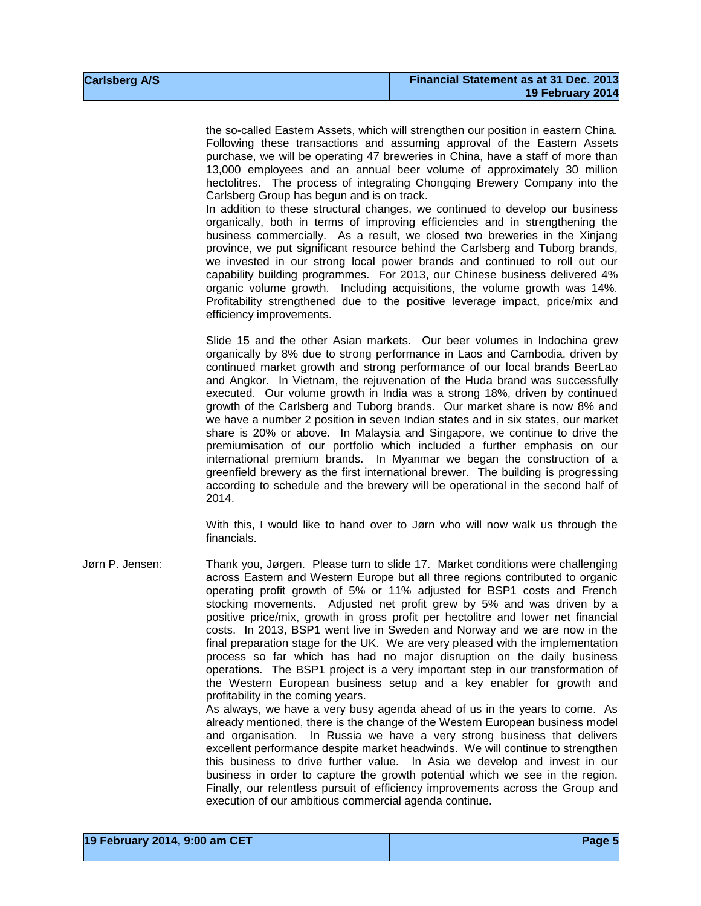the so-called Eastern Assets, which will strengthen our position in eastern China. Following these transactions and assuming approval of the Eastern Assets purchase, we will be operating 47 breweries in China, have a staff of more than 13,000 employees and an annual beer volume of approximately 30 million hectolitres. The process of integrating Chongqing Brewery Company into the Carlsberg Group has begun and is on track.

In addition to these structural changes, we continued to develop our business organically, both in terms of improving efficiencies and in strengthening the business commercially. As a result, we closed two breweries in the Xinjang province, we put significant resource behind the Carlsberg and Tuborg brands, we invested in our strong local power brands and continued to roll out our capability building programmes. For 2013, our Chinese business delivered 4% organic volume growth. Including acquisitions, the volume growth was 14%. Profitability strengthened due to the positive leverage impact, price/mix and efficiency improvements.

Slide 15 and the other Asian markets. Our beer volumes in Indochina grew organically by 8% due to strong performance in Laos and Cambodia, driven by continued market growth and strong performance of our local brands BeerLao and Angkor. In Vietnam, the rejuvenation of the Huda brand was successfully executed. Our volume growth in India was a strong 18%, driven by continued growth of the Carlsberg and Tuborg brands. Our market share is now 8% and we have a number 2 position in seven Indian states and in six states, our market share is 20% or above. In Malaysia and Singapore, we continue to drive the premiumisation of our portfolio which included a further emphasis on our international premium brands. In Myanmar we began the construction of a greenfield brewery as the first international brewer. The building is progressing according to schedule and the brewery will be operational in the second half of 2014.

With this, I would like to hand over to Jørn who will now walk us through the financials.

Jørn P. Jensen: Thank you, Jørgen. Please turn to slide 17. Market conditions were challenging across Eastern and Western Europe but all three regions contributed to organic operating profit growth of 5% or 11% adjusted for BSP1 costs and French stocking movements. Adjusted net profit grew by 5% and was driven by a positive price/mix, growth in gross profit per hectolitre and lower net financial costs. In 2013, BSP1 went live in Sweden and Norway and we are now in the final preparation stage for the UK. We are very pleased with the implementation process so far which has had no major disruption on the daily business operations. The BSP1 project is a very important step in our transformation of the Western European business setup and a key enabler for growth and profitability in the coming years. As always, we have a very busy agenda ahead of us in the years to come. As

already mentioned, there is the change of the Western European business model and organisation. In Russia we have a very strong business that delivers excellent performance despite market headwinds. We will continue to strengthen this business to drive further value. In Asia we develop and invest in our business in order to capture the growth potential which we see in the region. Finally, our relentless pursuit of efficiency improvements across the Group and execution of our ambitious commercial agenda continue.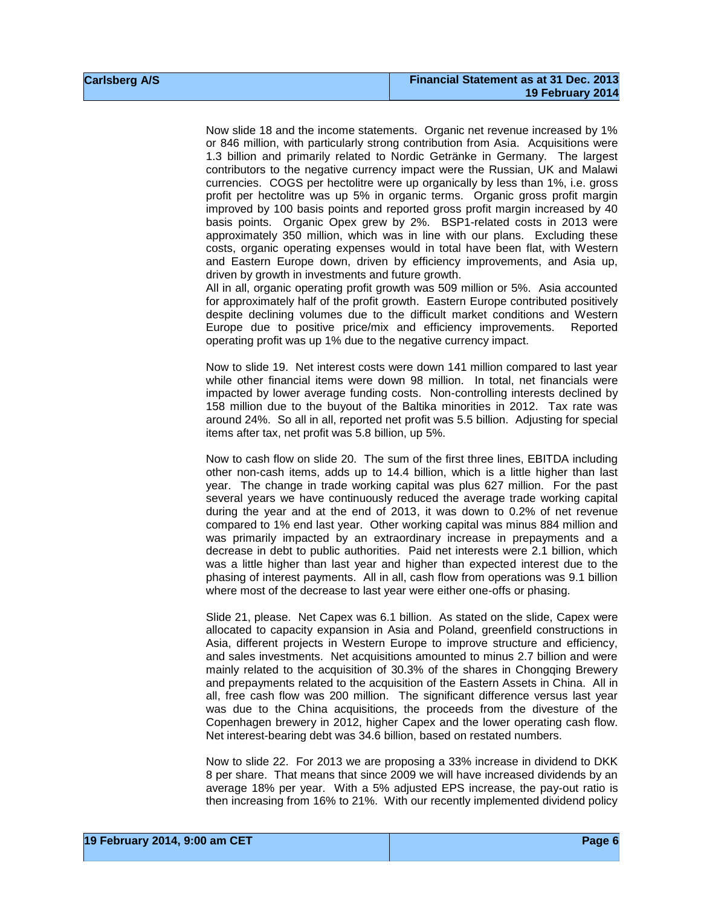Now slide 18 and the income statements. Organic net revenue increased by 1% or 846 million, with particularly strong contribution from Asia. Acquisitions were 1.3 billion and primarily related to Nordic Getränke in Germany. The largest contributors to the negative currency impact were the Russian, UK and Malawi currencies. COGS per hectolitre were up organically by less than 1%, i.e. gross profit per hectolitre was up 5% in organic terms. Organic gross profit margin improved by 100 basis points and reported gross profit margin increased by 40 basis points. Organic Opex grew by 2%. BSP1-related costs in 2013 were approximately 350 million, which was in line with our plans. Excluding these costs, organic operating expenses would in total have been flat, with Western and Eastern Europe down, driven by efficiency improvements, and Asia up, driven by growth in investments and future growth.

All in all, organic operating profit growth was 509 million or 5%. Asia accounted for approximately half of the profit growth. Eastern Europe contributed positively despite declining volumes due to the difficult market conditions and Western Europe due to positive price/mix and efficiency improvements. Reported operating profit was up 1% due to the negative currency impact.

Now to slide 19. Net interest costs were down 141 million compared to last year while other financial items were down 98 million. In total, net financials were impacted by lower average funding costs. Non-controlling interests declined by 158 million due to the buyout of the Baltika minorities in 2012. Tax rate was around 24%. So all in all, reported net profit was 5.5 billion. Adjusting for special items after tax, net profit was 5.8 billion, up 5%.

Now to cash flow on slide 20. The sum of the first three lines, EBITDA including other non-cash items, adds up to 14.4 billion, which is a little higher than last year. The change in trade working capital was plus 627 million. For the past several years we have continuously reduced the average trade working capital during the year and at the end of 2013, it was down to 0.2% of net revenue compared to 1% end last year. Other working capital was minus 884 million and was primarily impacted by an extraordinary increase in prepayments and a decrease in debt to public authorities. Paid net interests were 2.1 billion, which was a little higher than last year and higher than expected interest due to the phasing of interest payments. All in all, cash flow from operations was 9.1 billion where most of the decrease to last year were either one-offs or phasing.

Slide 21, please. Net Capex was 6.1 billion. As stated on the slide, Capex were allocated to capacity expansion in Asia and Poland, greenfield constructions in Asia, different projects in Western Europe to improve structure and efficiency, and sales investments. Net acquisitions amounted to minus 2.7 billion and were mainly related to the acquisition of 30.3% of the shares in Chongqing Brewery and prepayments related to the acquisition of the Eastern Assets in China. All in all, free cash flow was 200 million. The significant difference versus last year was due to the China acquisitions, the proceeds from the divesture of the Copenhagen brewery in 2012, higher Capex and the lower operating cash flow. Net interest-bearing debt was 34.6 billion, based on restated numbers.

Now to slide 22. For 2013 we are proposing a 33% increase in dividend to DKK 8 per share. That means that since 2009 we will have increased dividends by an average 18% per year. With a 5% adjusted EPS increase, the pay-out ratio is then increasing from 16% to 21%. With our recently implemented dividend policy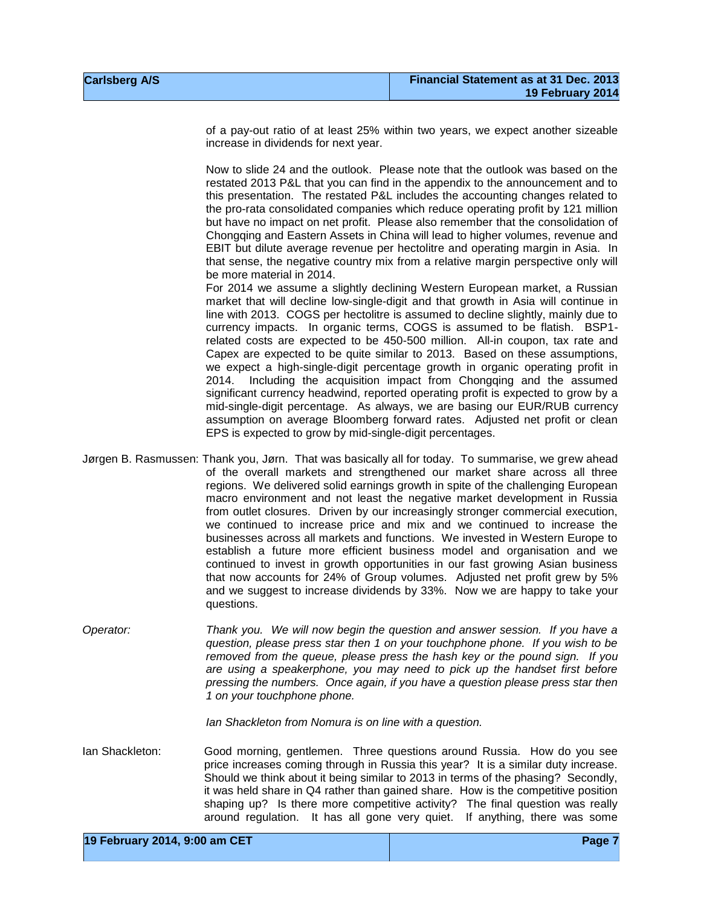of a pay-out ratio of at least 25% within two years, we expect another sizeable increase in dividends for next year.

Now to slide 24 and the outlook. Please note that the outlook was based on the restated 2013 P&L that you can find in the appendix to the announcement and to this presentation. The restated P&L includes the accounting changes related to the pro-rata consolidated companies which reduce operating profit by 121 million but have no impact on net profit. Please also remember that the consolidation of Chongqing and Eastern Assets in China will lead to higher volumes, revenue and EBIT but dilute average revenue per hectolitre and operating margin in Asia. In that sense, the negative country mix from a relative margin perspective only will be more material in 2014.

For 2014 we assume a slightly declining Western European market, a Russian market that will decline low-single-digit and that growth in Asia will continue in line with 2013. COGS per hectolitre is assumed to decline slightly, mainly due to currency impacts. In organic terms, COGS is assumed to be flatish. BSP1 related costs are expected to be 450-500 million. All-in coupon, tax rate and Capex are expected to be quite similar to 2013. Based on these assumptions, we expect a high-single-digit percentage growth in organic operating profit in 2014. Including the acquisition impact from Chongqing and the assumed significant currency headwind, reported operating profit is expected to grow by a mid-single-digit percentage. As always, we are basing our EUR/RUB currency assumption on average Bloomberg forward rates. Adjusted net profit or clean EPS is expected to grow by mid-single-digit percentages.

- Jørgen B. Rasmussen: Thank you, Jørn. That was basically all for today. To summarise, we grew ahead of the overall markets and strengthened our market share across all three regions. We delivered solid earnings growth in spite of the challenging European macro environment and not least the negative market development in Russia from outlet closures. Driven by our increasingly stronger commercial execution, we continued to increase price and mix and we continued to increase the businesses across all markets and functions. We invested in Western Europe to establish a future more efficient business model and organisation and we continued to invest in growth opportunities in our fast growing Asian business that now accounts for 24% of Group volumes. Adjusted net profit grew by 5% and we suggest to increase dividends by 33%. Now we are happy to take your questions.
- *Operator: Thank you. We will now begin the question and answer session. If you have a question, please press star then 1 on your touchphone phone. If you wish to be removed from the queue, please press the hash key or the pound sign. If you are using a speakerphone, you may need to pick up the handset first before pressing the numbers. Once again, if you have a question please press star then 1 on your touchphone phone.*

*Ian Shackleton from Nomura is on line with a question.*

Ian Shackleton: Good morning, gentlemen. Three questions around Russia. How do you see price increases coming through in Russia this year? It is a similar duty increase. Should we think about it being similar to 2013 in terms of the phasing? Secondly, it was held share in Q4 rather than gained share. How is the competitive position shaping up? Is there more competitive activity? The final question was really around regulation. It has all gone very quiet. If anything, there was some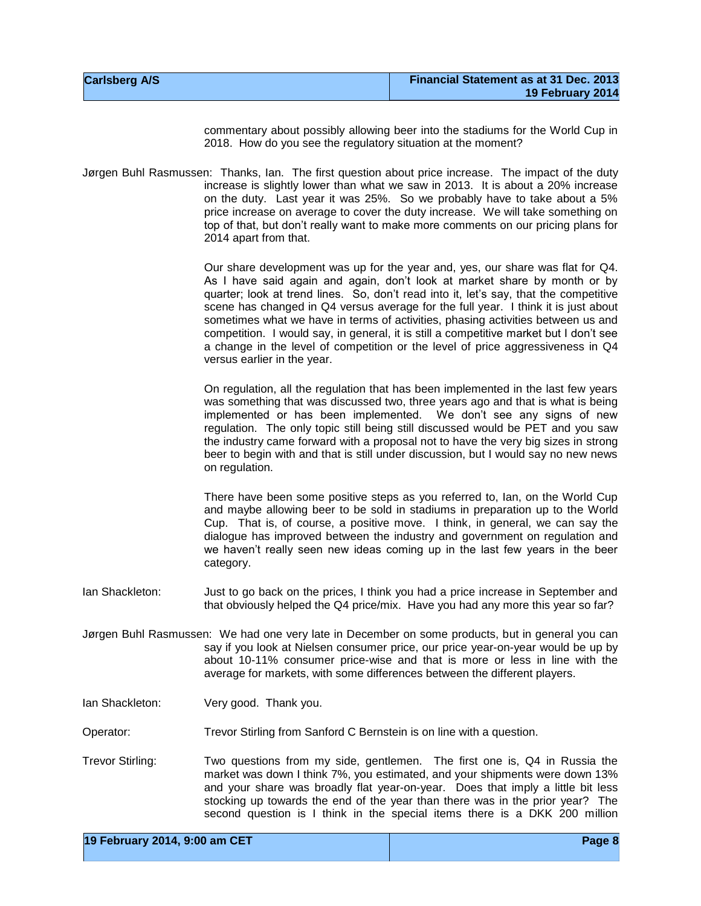| <b>Carlsberg A/S</b> | Financial Statement as at 31 Dec. 2013 |
|----------------------|----------------------------------------|
|                      | 19 February 2014                       |

commentary about possibly allowing beer into the stadiums for the World Cup in 2018. How do you see the regulatory situation at the moment?

Jørgen Buhl Rasmussen: Thanks, Ian. The first question about price increase. The impact of the duty increase is slightly lower than what we saw in 2013. It is about a 20% increase on the duty. Last year it was 25%. So we probably have to take about a 5% price increase on average to cover the duty increase. We will take something on top of that, but don't really want to make more comments on our pricing plans for 2014 apart from that.

> Our share development was up for the year and, yes, our share was flat for Q4. As I have said again and again, don't look at market share by month or by quarter; look at trend lines. So, don't read into it, let's say, that the competitive scene has changed in Q4 versus average for the full year. I think it is just about sometimes what we have in terms of activities, phasing activities between us and competition. I would say, in general, it is still a competitive market but I don't see a change in the level of competition or the level of price aggressiveness in Q4 versus earlier in the year.

> On regulation, all the regulation that has been implemented in the last few years was something that was discussed two, three years ago and that is what is being implemented or has been implemented. We don't see any signs of new regulation. The only topic still being still discussed would be PET and you saw the industry came forward with a proposal not to have the very big sizes in strong beer to begin with and that is still under discussion, but I would say no new news on regulation.

> There have been some positive steps as you referred to, Ian, on the World Cup and maybe allowing beer to be sold in stadiums in preparation up to the World Cup. That is, of course, a positive move. I think, in general, we can say the dialogue has improved between the industry and government on regulation and we haven't really seen new ideas coming up in the last few years in the beer category.

- Ian Shackleton: Just to go back on the prices, I think you had a price increase in September and that obviously helped the Q4 price/mix. Have you had any more this year so far?
- Jørgen Buhl Rasmussen: We had one very late in December on some products, but in general you can say if you look at Nielsen consumer price, our price year-on-year would be up by about 10-11% consumer price-wise and that is more or less in line with the average for markets, with some differences between the different players.
- Ian Shackleton: Very good. Thank you.
- Operator: Trevor Stirling from Sanford C Bernstein is on line with a question.
- Trevor Stirling: Two questions from my side, gentlemen. The first one is, Q4 in Russia the market was down I think 7%, you estimated, and your shipments were down 13% and your share was broadly flat year-on-year. Does that imply a little bit less stocking up towards the end of the year than there was in the prior year? The second question is I think in the special items there is a DKK 200 million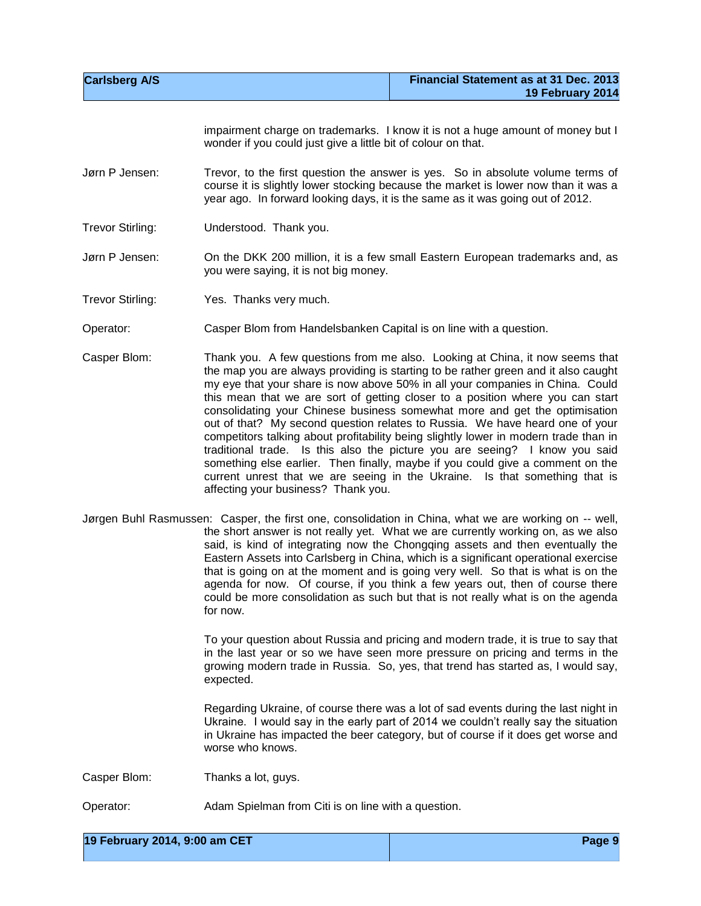| <b>Carlsberg A/S</b> |                                                                    | Financial Statement as at 31 Dec. 2013<br>19 February 2014                                                                                                                                                                                                                                                                                                                                                                                                                                                                                                                                                                                                                                                                                                                                                                                  |
|----------------------|--------------------------------------------------------------------|---------------------------------------------------------------------------------------------------------------------------------------------------------------------------------------------------------------------------------------------------------------------------------------------------------------------------------------------------------------------------------------------------------------------------------------------------------------------------------------------------------------------------------------------------------------------------------------------------------------------------------------------------------------------------------------------------------------------------------------------------------------------------------------------------------------------------------------------|
|                      | wonder if you could just give a little bit of colour on that.      | impairment charge on trademarks. I know it is not a huge amount of money but I                                                                                                                                                                                                                                                                                                                                                                                                                                                                                                                                                                                                                                                                                                                                                              |
| Jørn P Jensen:       |                                                                    | Trevor, to the first question the answer is yes. So in absolute volume terms of<br>course it is slightly lower stocking because the market is lower now than it was a<br>year ago. In forward looking days, it is the same as it was going out of 2012.                                                                                                                                                                                                                                                                                                                                                                                                                                                                                                                                                                                     |
| Trevor Stirling:     | Understood. Thank you.                                             |                                                                                                                                                                                                                                                                                                                                                                                                                                                                                                                                                                                                                                                                                                                                                                                                                                             |
| Jørn P Jensen:       | you were saying, it is not big money.                              | On the DKK 200 million, it is a few small Eastern European trademarks and, as                                                                                                                                                                                                                                                                                                                                                                                                                                                                                                                                                                                                                                                                                                                                                               |
| Trevor Stirling:     | Yes. Thanks very much.                                             |                                                                                                                                                                                                                                                                                                                                                                                                                                                                                                                                                                                                                                                                                                                                                                                                                                             |
| Operator:            | Casper Blom from Handelsbanken Capital is on line with a question. |                                                                                                                                                                                                                                                                                                                                                                                                                                                                                                                                                                                                                                                                                                                                                                                                                                             |
| Casper Blom:         | affecting your business? Thank you.                                | Thank you. A few questions from me also. Looking at China, it now seems that<br>the map you are always providing is starting to be rather green and it also caught<br>my eye that your share is now above 50% in all your companies in China. Could<br>this mean that we are sort of getting closer to a position where you can start<br>consolidating your Chinese business somewhat more and get the optimisation<br>out of that? My second question relates to Russia. We have heard one of your<br>competitors talking about profitability being slightly lower in modern trade than in<br>traditional trade. Is this also the picture you are seeing? I know you said<br>something else earlier. Then finally, maybe if you could give a comment on the<br>current unrest that we are seeing in the Ukraine. Is that something that is |
|                      | for now.                                                           | Jørgen Buhl Rasmussen: Casper, the first one, consolidation in China, what we are working on -- well,<br>the short answer is not really yet. What we are currently working on, as we also<br>said, is kind of integrating now the Chongqing assets and then eventually the<br>Eastern Assets into Carlsberg in China, which is a significant operational exercise<br>that is going on at the moment and is going very well. So that is what is on the<br>agenda for now. Of course, if you think a few years out, then of course there<br>could be more consolidation as such but that is not really what is on the agenda<br>To your question about Russia and pricing and modern trade, it is true to say that                                                                                                                            |
|                      | expected.                                                          | in the last year or so we have seen more pressure on pricing and terms in the<br>growing modern trade in Russia. So, yes, that trend has started as, I would say,                                                                                                                                                                                                                                                                                                                                                                                                                                                                                                                                                                                                                                                                           |
|                      | worse who knows.                                                   | Regarding Ukraine, of course there was a lot of sad events during the last night in<br>Ukraine. I would say in the early part of 2014 we couldn't really say the situation<br>in Ukraine has impacted the beer category, but of course if it does get worse and                                                                                                                                                                                                                                                                                                                                                                                                                                                                                                                                                                             |
| Casper Blom:         | Thanks a lot, guys.                                                |                                                                                                                                                                                                                                                                                                                                                                                                                                                                                                                                                                                                                                                                                                                                                                                                                                             |
| Operator:            | Adam Spielman from Citi is on line with a question.                |                                                                                                                                                                                                                                                                                                                                                                                                                                                                                                                                                                                                                                                                                                                                                                                                                                             |

**19 February 2014, 9:00 am CET Page 9**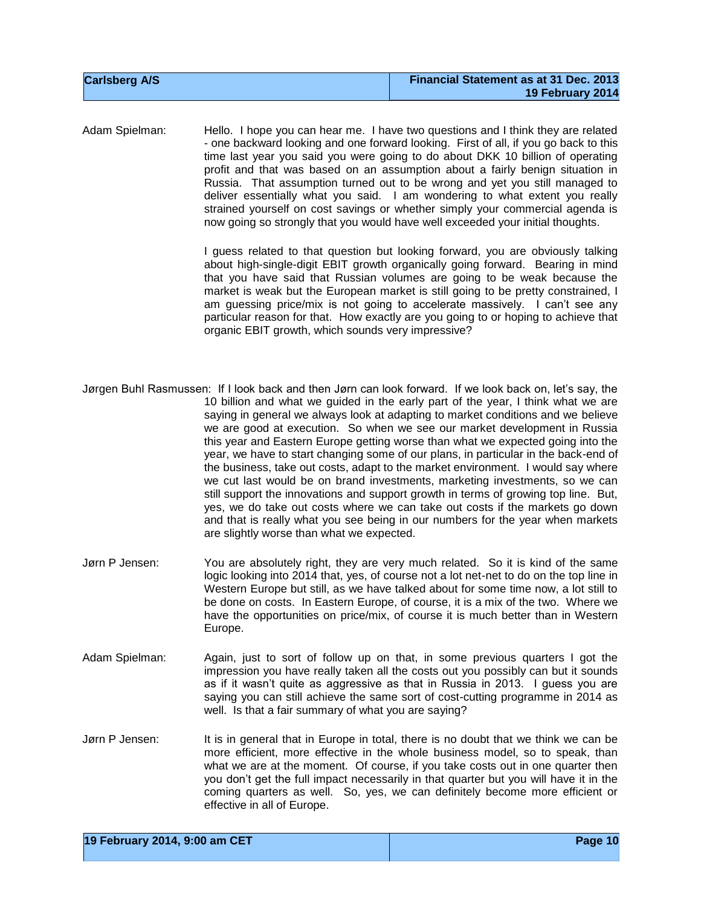| <b>Carlsberg A/S</b> | Financial Statement as at 31 Dec. 2013 |
|----------------------|----------------------------------------|
|                      | 19 February 2014                       |

Adam Spielman: Hello. I hope you can hear me. I have two questions and I think they are related - one backward looking and one forward looking. First of all, if you go back to this time last year you said you were going to do about DKK 10 billion of operating profit and that was based on an assumption about a fairly benign situation in Russia. That assumption turned out to be wrong and yet you still managed to deliver essentially what you said. I am wondering to what extent you really strained yourself on cost savings or whether simply your commercial agenda is now going so strongly that you would have well exceeded your initial thoughts.

> I guess related to that question but looking forward, you are obviously talking about high-single-digit EBIT growth organically going forward. Bearing in mind that you have said that Russian volumes are going to be weak because the market is weak but the European market is still going to be pretty constrained, I am guessing price/mix is not going to accelerate massively. I can't see any particular reason for that. How exactly are you going to or hoping to achieve that organic EBIT growth, which sounds very impressive?

- Jørgen Buhl Rasmussen: If I look back and then Jørn can look forward. If we look back on, let's say, the 10 billion and what we guided in the early part of the year, I think what we are saying in general we always look at adapting to market conditions and we believe we are good at execution. So when we see our market development in Russia this year and Eastern Europe getting worse than what we expected going into the year, we have to start changing some of our plans, in particular in the back-end of the business, take out costs, adapt to the market environment. I would say where we cut last would be on brand investments, marketing investments, so we can still support the innovations and support growth in terms of growing top line. But, yes, we do take out costs where we can take out costs if the markets go down and that is really what you see being in our numbers for the year when markets are slightly worse than what we expected.
- Jørn P Jensen: You are absolutely right, they are very much related. So it is kind of the same logic looking into 2014 that, yes, of course not a lot net-net to do on the top line in Western Europe but still, as we have talked about for some time now, a lot still to be done on costs. In Eastern Europe, of course, it is a mix of the two. Where we have the opportunities on price/mix, of course it is much better than in Western Europe.
- Adam Spielman: Again, just to sort of follow up on that, in some previous quarters I got the impression you have really taken all the costs out you possibly can but it sounds as if it wasn't quite as aggressive as that in Russia in 2013. I guess you are saying you can still achieve the same sort of cost-cutting programme in 2014 as well. Is that a fair summary of what you are saying?
- Jørn P Jensen: It is in general that in Europe in total, there is no doubt that we think we can be more efficient, more effective in the whole business model, so to speak, than what we are at the moment. Of course, if you take costs out in one quarter then you don't get the full impact necessarily in that quarter but you will have it in the coming quarters as well. So, yes, we can definitely become more efficient or effective in all of Europe.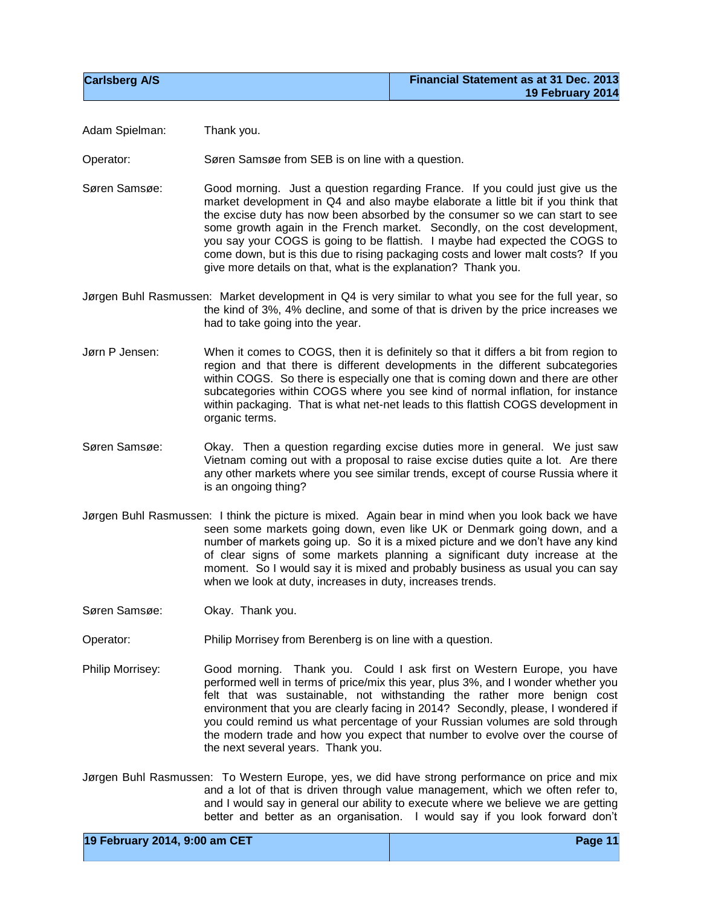| <b>Carlsberg A/S</b> | Financial Statement as at 31 Dec. 2013 |
|----------------------|----------------------------------------|
|                      | 19 February 2014                       |

Adam Spielman: Thank you.

Operator: Søren Samsøe from SEB is on line with a question.

Søren Samsøe: Good morning. Just a question regarding France. If you could just give us the market development in Q4 and also maybe elaborate a little bit if you think that the excise duty has now been absorbed by the consumer so we can start to see some growth again in the French market. Secondly, on the cost development, you say your COGS is going to be flattish. I maybe had expected the COGS to come down, but is this due to rising packaging costs and lower malt costs? If you give more details on that, what is the explanation? Thank you.

Jørgen Buhl Rasmussen: Market development in Q4 is very similar to what you see for the full year, so the kind of 3%, 4% decline, and some of that is driven by the price increases we had to take going into the year.

- Jørn P Jensen: When it comes to COGS, then it is definitely so that it differs a bit from region to region and that there is different developments in the different subcategories within COGS. So there is especially one that is coming down and there are other subcategories within COGS where you see kind of normal inflation, for instance within packaging. That is what net-net leads to this flattish COGS development in organic terms.
- Søren Samsøe: Okay. Then a question regarding excise duties more in general. We just saw Vietnam coming out with a proposal to raise excise duties quite a lot. Are there any other markets where you see similar trends, except of course Russia where it is an ongoing thing?
- Jørgen Buhl Rasmussen: I think the picture is mixed. Again bear in mind when you look back we have seen some markets going down, even like UK or Denmark going down, and a number of markets going up. So it is a mixed picture and we don't have any kind of clear signs of some markets planning a significant duty increase at the moment. So I would say it is mixed and probably business as usual you can say when we look at duty, increases in duty, increases trends.
- Søren Samsøe: Okay. Thank you.
- Operator: Philip Morrisey from Berenberg is on line with a question.
- Philip Morrisey: Good morning. Thank you. Could I ask first on Western Europe, you have performed well in terms of price/mix this year, plus 3%, and I wonder whether you felt that was sustainable, not withstanding the rather more benign cost environment that you are clearly facing in 2014? Secondly, please, I wondered if you could remind us what percentage of your Russian volumes are sold through the modern trade and how you expect that number to evolve over the course of the next several years. Thank you.
- Jørgen Buhl Rasmussen: To Western Europe, yes, we did have strong performance on price and mix and a lot of that is driven through value management, which we often refer to, and I would say in general our ability to execute where we believe we are getting better and better as an organisation. I would say if you look forward don't

| 19 February 2014, 9:00 am CET | Page 11 |
|-------------------------------|---------|
|-------------------------------|---------|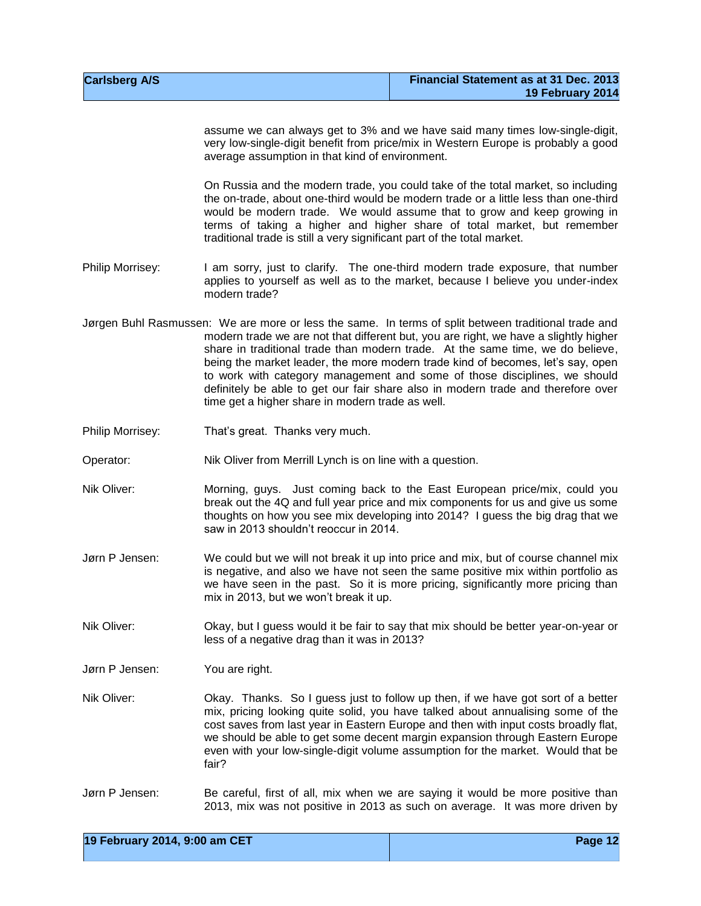| <b>Carlsberg A/S</b> | Financial Statement as at 31 Dec. 2013 |
|----------------------|----------------------------------------|
|                      | 19 February 2014                       |

assume we can always get to 3% and we have said many times low-single-digit, very low-single-digit benefit from price/mix in Western Europe is probably a good average assumption in that kind of environment.

On Russia and the modern trade, you could take of the total market, so including the on-trade, about one-third would be modern trade or a little less than one-third would be modern trade. We would assume that to grow and keep growing in terms of taking a higher and higher share of total market, but remember traditional trade is still a very significant part of the total market.

Philip Morrisey: I am sorry, just to clarify. The one-third modern trade exposure, that number applies to yourself as well as to the market, because I believe you under-index modern trade?

- Jørgen Buhl Rasmussen: We are more or less the same. In terms of split between traditional trade and modern trade we are not that different but, you are right, we have a slightly higher share in traditional trade than modern trade. At the same time, we do believe, being the market leader, the more modern trade kind of becomes, let's say, open to work with category management and some of those disciplines, we should definitely be able to get our fair share also in modern trade and therefore over time get a higher share in modern trade as well.
- Philip Morrisey: That's great. Thanks very much.

Operator: Nik Oliver from Merrill Lynch is on line with a question.

- Nik Oliver: Morning, guys. Just coming back to the East European price/mix, could you break out the 4Q and full year price and mix components for us and give us some thoughts on how you see mix developing into 2014? I guess the big drag that we saw in 2013 shouldn't reoccur in 2014.
- Jørn P Jensen: We could but we will not break it up into price and mix, but of course channel mix is negative, and also we have not seen the same positive mix within portfolio as we have seen in the past. So it is more pricing, significantly more pricing than mix in 2013, but we won't break it up.
- Nik Oliver: Okay, but I guess would it be fair to say that mix should be better year-on-year or less of a negative drag than it was in 2013?

Jørn P Jensen: You are right.

- Nik Oliver: Okay. Thanks. So I guess just to follow up then, if we have got sort of a better mix, pricing looking quite solid, you have talked about annualising some of the cost saves from last year in Eastern Europe and then with input costs broadly flat, we should be able to get some decent margin expansion through Eastern Europe even with your low-single-digit volume assumption for the market. Would that be fair?
- Jørn P Jensen: Be careful, first of all, mix when we are saying it would be more positive than 2013, mix was not positive in 2013 as such on average. It was more driven by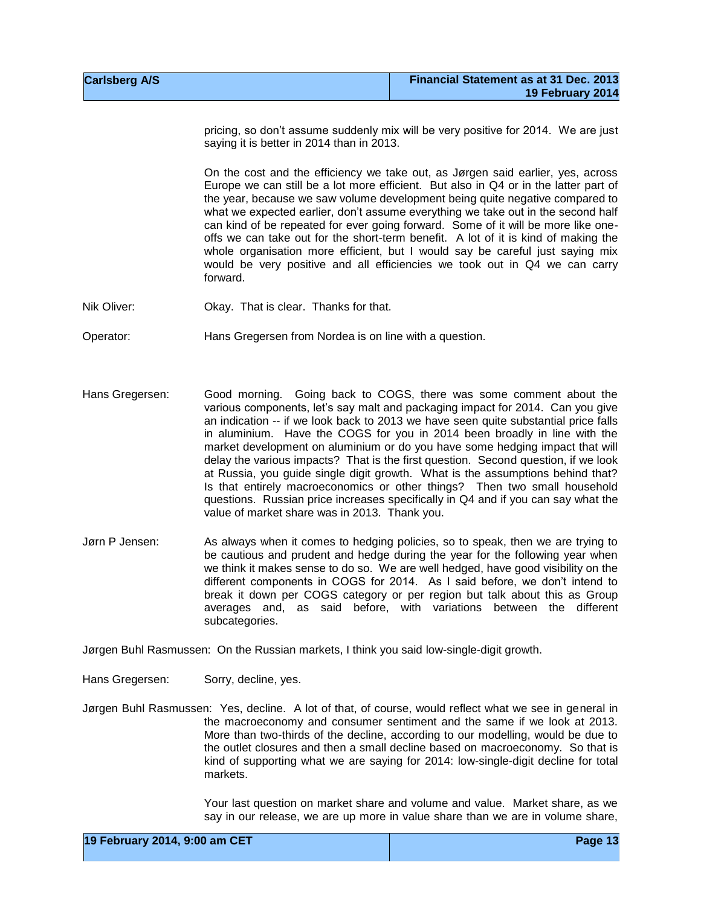| <b>Carlsberg A/S</b> | Financial Statement as at 31 Dec. 2013 |
|----------------------|----------------------------------------|
|                      | 19 February 2014                       |

pricing, so don't assume suddenly mix will be very positive for 2014. We are just saying it is better in 2014 than in 2013.

On the cost and the efficiency we take out, as Jørgen said earlier, yes, across Europe we can still be a lot more efficient. But also in Q4 or in the latter part of the year, because we saw volume development being quite negative compared to what we expected earlier, don't assume everything we take out in the second half can kind of be repeated for ever going forward. Some of it will be more like oneoffs we can take out for the short-term benefit. A lot of it is kind of making the whole organisation more efficient, but I would say be careful just saying mix would be very positive and all efficiencies we took out in Q4 we can carry forward.

Nik Oliver: Okay. That is clear. Thanks for that.

Operator: Hans Gregersen from Nordea is on line with a question.

- Hans Gregersen: Good morning. Going back to COGS, there was some comment about the various components, let's say malt and packaging impact for 2014. Can you give an indication -- if we look back to 2013 we have seen quite substantial price falls in aluminium. Have the COGS for you in 2014 been broadly in line with the market development on aluminium or do you have some hedging impact that will delay the various impacts? That is the first question. Second question, if we look at Russia, you guide single digit growth. What is the assumptions behind that? Is that entirely macroeconomics or other things? Then two small household questions. Russian price increases specifically in Q4 and if you can say what the value of market share was in 2013. Thank you.
- Jørn P Jensen: As always when it comes to hedging policies, so to speak, then we are trying to be cautious and prudent and hedge during the year for the following year when we think it makes sense to do so. We are well hedged, have good visibility on the different components in COGS for 2014. As I said before, we don't intend to break it down per COGS category or per region but talk about this as Group averages and, as said before, with variations between the different subcategories.

Jørgen Buhl Rasmussen: On the Russian markets, I think you said low-single-digit growth.

Hans Gregersen: Sorry, decline, yes.

Jørgen Buhl Rasmussen: Yes, decline. A lot of that, of course, would reflect what we see in general in the macroeconomy and consumer sentiment and the same if we look at 2013. More than two-thirds of the decline, according to our modelling, would be due to the outlet closures and then a small decline based on macroeconomy. So that is kind of supporting what we are saying for 2014: low-single-digit decline for total markets.

> Your last question on market share and volume and value. Market share, as we say in our release, we are up more in value share than we are in volume share,

| 19 February 2014, 9:00 am CET | Page 13 |
|-------------------------------|---------|
|-------------------------------|---------|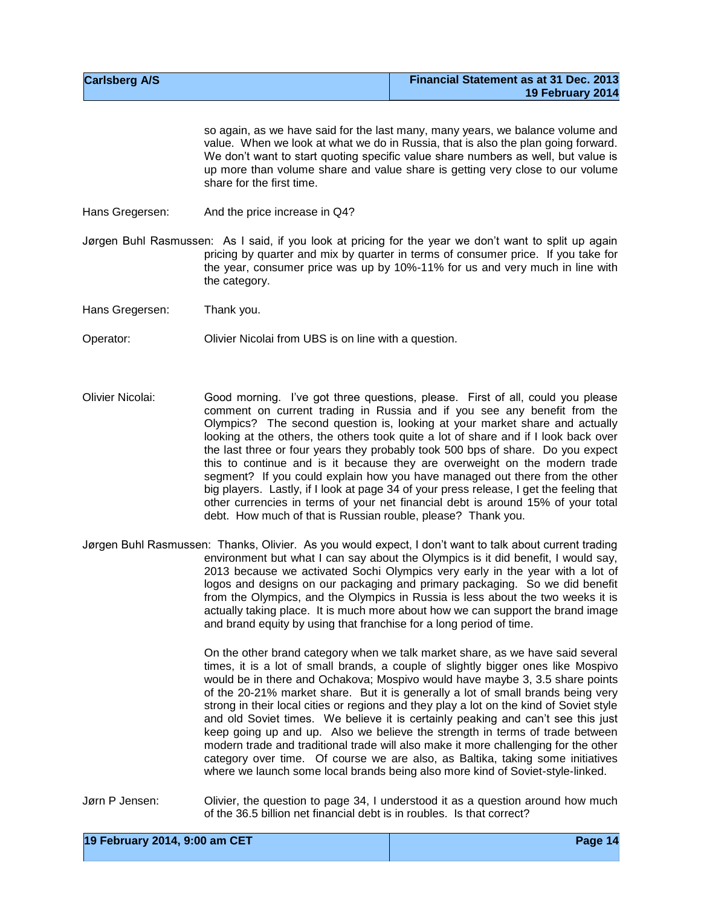| <b>Carlsberg A/S</b> | Financial Statement as at 31 Dec. 2013 |
|----------------------|----------------------------------------|
|                      | 19 February 2014                       |

so again, as we have said for the last many, many years, we balance volume and value. When we look at what we do in Russia, that is also the plan going forward. We don't want to start quoting specific value share numbers as well, but value is up more than volume share and value share is getting very close to our volume share for the first time.

- Hans Gregersen: And the price increase in Q4?
- Jørgen Buhl Rasmussen: As I said, if you look at pricing for the year we don't want to split up again pricing by quarter and mix by quarter in terms of consumer price. If you take for the year, consumer price was up by 10%-11% for us and very much in line with the category.
- Hans Gregersen: Thank you.
- Operator: Olivier Nicolai from UBS is on line with a question.
- Olivier Nicolai: Good morning. I've got three questions, please. First of all, could you please comment on current trading in Russia and if you see any benefit from the Olympics? The second question is, looking at your market share and actually looking at the others, the others took quite a lot of share and if I look back over the last three or four years they probably took 500 bps of share. Do you expect this to continue and is it because they are overweight on the modern trade segment? If you could explain how you have managed out there from the other big players. Lastly, if I look at page 34 of your press release, I get the feeling that other currencies in terms of your net financial debt is around 15% of your total debt. How much of that is Russian rouble, please? Thank you.
- Jørgen Buhl Rasmussen: Thanks, Olivier. As you would expect, I don't want to talk about current trading environment but what I can say about the Olympics is it did benefit, I would say, 2013 because we activated Sochi Olympics very early in the year with a lot of logos and designs on our packaging and primary packaging. So we did benefit from the Olympics, and the Olympics in Russia is less about the two weeks it is actually taking place. It is much more about how we can support the brand image and brand equity by using that franchise for a long period of time.

On the other brand category when we talk market share, as we have said several times, it is a lot of small brands, a couple of slightly bigger ones like Mospivo would be in there and Ochakova; Mospivo would have maybe 3, 3.5 share points of the 20-21% market share. But it is generally a lot of small brands being very strong in their local cities or regions and they play a lot on the kind of Soviet style and old Soviet times. We believe it is certainly peaking and can't see this just keep going up and up. Also we believe the strength in terms of trade between modern trade and traditional trade will also make it more challenging for the other category over time. Of course we are also, as Baltika, taking some initiatives where we launch some local brands being also more kind of Soviet-style-linked.

Jørn P Jensen: Olivier, the question to page 34, I understood it as a question around how much of the 36.5 billion net financial debt is in roubles. Is that correct?

| 19 February 2014, 9:00 am CET | Page 14 |
|-------------------------------|---------|
|-------------------------------|---------|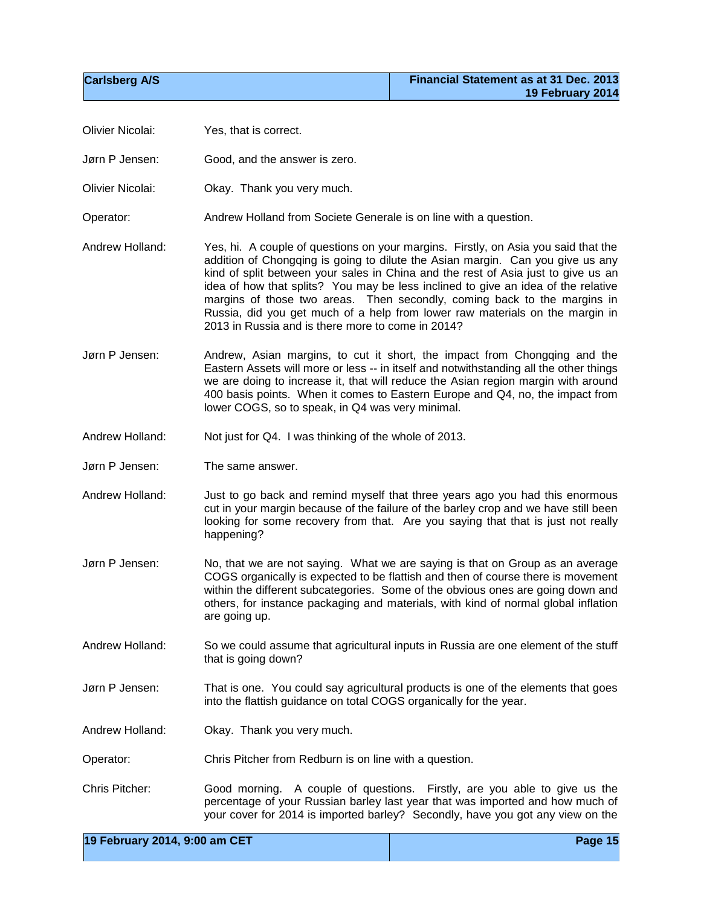| Olivier Nicolai: | Yes, that is correct.                                                                                                                                                                                                                                                                                                                                                                                                                                                                                                                                           |
|------------------|-----------------------------------------------------------------------------------------------------------------------------------------------------------------------------------------------------------------------------------------------------------------------------------------------------------------------------------------------------------------------------------------------------------------------------------------------------------------------------------------------------------------------------------------------------------------|
| Jørn P Jensen:   | Good, and the answer is zero.                                                                                                                                                                                                                                                                                                                                                                                                                                                                                                                                   |
| Olivier Nicolai: | Okay. Thank you very much.                                                                                                                                                                                                                                                                                                                                                                                                                                                                                                                                      |
| Operator:        | Andrew Holland from Societe Generale is on line with a question.                                                                                                                                                                                                                                                                                                                                                                                                                                                                                                |
| Andrew Holland:  | Yes, hi. A couple of questions on your margins. Firstly, on Asia you said that the<br>addition of Chongqing is going to dilute the Asian margin. Can you give us any<br>kind of split between your sales in China and the rest of Asia just to give us an<br>idea of how that splits? You may be less inclined to give an idea of the relative<br>margins of those two areas. Then secondly, coming back to the margins in<br>Russia, did you get much of a help from lower raw materials on the margin in<br>2013 in Russia and is there more to come in 2014? |
| Jørn P Jensen:   | Andrew, Asian margins, to cut it short, the impact from Chongqing and the<br>Eastern Assets will more or less -- in itself and notwithstanding all the other things<br>we are doing to increase it, that will reduce the Asian region margin with around<br>400 basis points. When it comes to Eastern Europe and Q4, no, the impact from<br>lower COGS, so to speak, in Q4 was very minimal.                                                                                                                                                                   |
| Andrew Holland:  | Not just for Q4. I was thinking of the whole of 2013.                                                                                                                                                                                                                                                                                                                                                                                                                                                                                                           |
| Jørn P Jensen:   | The same answer.                                                                                                                                                                                                                                                                                                                                                                                                                                                                                                                                                |
| Andrew Holland:  | Just to go back and remind myself that three years ago you had this enormous<br>cut in your margin because of the failure of the barley crop and we have still been<br>looking for some recovery from that. Are you saying that that is just not really<br>happening?                                                                                                                                                                                                                                                                                           |
| Jørn P Jensen:   | No, that we are not saying. What we are saying is that on Group as an average<br>COGS organically is expected to be flattish and then of course there is movement<br>within the different subcategories. Some of the obvious ones are going down and<br>others, for instance packaging and materials, with kind of normal global inflation<br>are going up.                                                                                                                                                                                                     |
| Andrew Holland:  | So we could assume that agricultural inputs in Russia are one element of the stuff<br>that is going down?                                                                                                                                                                                                                                                                                                                                                                                                                                                       |
| Jørn P Jensen:   | That is one. You could say agricultural products is one of the elements that goes<br>into the flattish guidance on total COGS organically for the year.                                                                                                                                                                                                                                                                                                                                                                                                         |
| Andrew Holland:  | Okay. Thank you very much.                                                                                                                                                                                                                                                                                                                                                                                                                                                                                                                                      |
| Operator:        | Chris Pitcher from Redburn is on line with a question.                                                                                                                                                                                                                                                                                                                                                                                                                                                                                                          |
| Chris Pitcher:   | Good morning. A couple of questions. Firstly, are you able to give us the<br>percentage of your Russian barley last year that was imported and how much of<br>your cover for 2014 is imported barley? Secondly, have you got any view on the                                                                                                                                                                                                                                                                                                                    |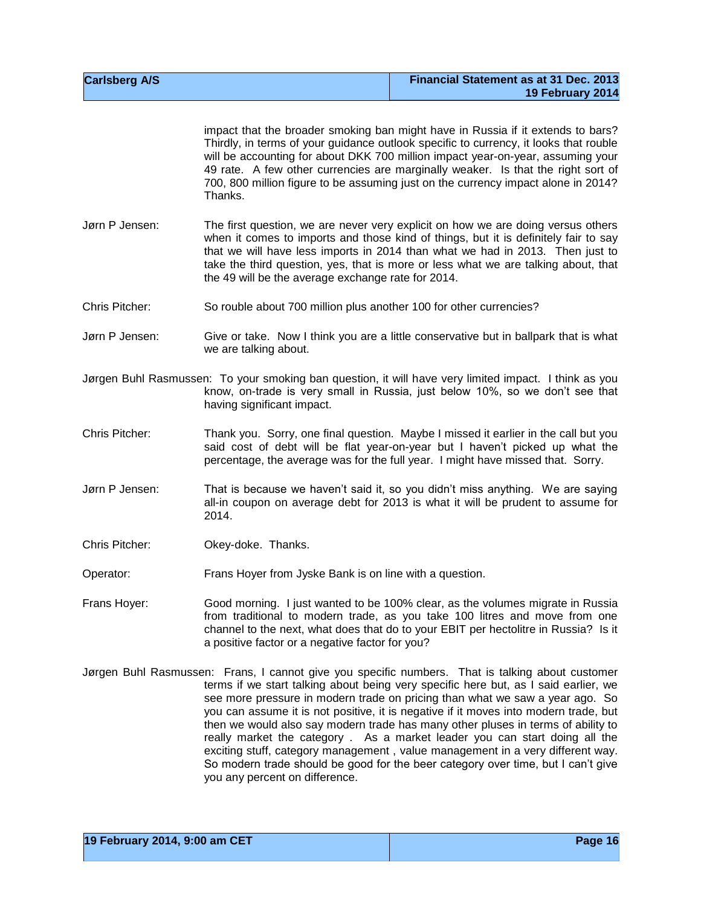| <b>Carlsberg A/S</b> | Financial Statement as at 31 Dec. 2013<br>19 February 2014                                                                                                                                                                                                                                                                                                                                                                                                                                                                                                                                                                                                                                                                                |
|----------------------|-------------------------------------------------------------------------------------------------------------------------------------------------------------------------------------------------------------------------------------------------------------------------------------------------------------------------------------------------------------------------------------------------------------------------------------------------------------------------------------------------------------------------------------------------------------------------------------------------------------------------------------------------------------------------------------------------------------------------------------------|
|                      | impact that the broader smoking ban might have in Russia if it extends to bars?<br>Thirdly, in terms of your guidance outlook specific to currency, it looks that rouble<br>will be accounting for about DKK 700 million impact year-on-year, assuming your<br>49 rate. A few other currencies are marginally weaker. Is that the right sort of<br>700, 800 million figure to be assuming just on the currency impact alone in 2014?<br>Thanks.                                                                                                                                                                                                                                                                                           |
| Jørn P Jensen:       | The first question, we are never very explicit on how we are doing versus others<br>when it comes to imports and those kind of things, but it is definitely fair to say<br>that we will have less imports in 2014 than what we had in 2013. Then just to<br>take the third question, yes, that is more or less what we are talking about, that<br>the 49 will be the average exchange rate for 2014.                                                                                                                                                                                                                                                                                                                                      |
| Chris Pitcher:       | So rouble about 700 million plus another 100 for other currencies?                                                                                                                                                                                                                                                                                                                                                                                                                                                                                                                                                                                                                                                                        |
| Jørn P Jensen:       | Give or take. Now I think you are a little conservative but in ballpark that is what<br>we are talking about.                                                                                                                                                                                                                                                                                                                                                                                                                                                                                                                                                                                                                             |
|                      | Jørgen Buhl Rasmussen: To your smoking ban question, it will have very limited impact. I think as you<br>know, on-trade is very small in Russia, just below 10%, so we don't see that<br>having significant impact.                                                                                                                                                                                                                                                                                                                                                                                                                                                                                                                       |
| Chris Pitcher:       | Thank you. Sorry, one final question. Maybe I missed it earlier in the call but you<br>said cost of debt will be flat year-on-year but I haven't picked up what the<br>percentage, the average was for the full year. I might have missed that. Sorry.                                                                                                                                                                                                                                                                                                                                                                                                                                                                                    |
| Jørn P Jensen:       | That is because we haven't said it, so you didn't miss anything. We are saying<br>all-in coupon on average debt for 2013 is what it will be prudent to assume for<br>2014.                                                                                                                                                                                                                                                                                                                                                                                                                                                                                                                                                                |
| Chris Pitcher:       | Okey-doke. Thanks.                                                                                                                                                                                                                                                                                                                                                                                                                                                                                                                                                                                                                                                                                                                        |
| Operator:            | Frans Hoyer from Jyske Bank is on line with a question.                                                                                                                                                                                                                                                                                                                                                                                                                                                                                                                                                                                                                                                                                   |
| Frans Hoyer:         | Good morning. I just wanted to be 100% clear, as the volumes migrate in Russia<br>from traditional to modern trade, as you take 100 litres and move from one<br>channel to the next, what does that do to your EBIT per hectolitre in Russia? Is it<br>a positive factor or a negative factor for you?                                                                                                                                                                                                                                                                                                                                                                                                                                    |
|                      | Jørgen Buhl Rasmussen: Frans, I cannot give you specific numbers. That is talking about customer<br>terms if we start talking about being very specific here but, as I said earlier, we<br>see more pressure in modern trade on pricing than what we saw a year ago. So<br>you can assume it is not positive, it is negative if it moves into modern trade, but<br>then we would also say modern trade has many other pluses in terms of ability to<br>really market the category. As a market leader you can start doing all the<br>exciting stuff, category management, value management in a very different way.<br>So modern trade should be good for the beer category over time, but I can't give<br>you any percent on difference. |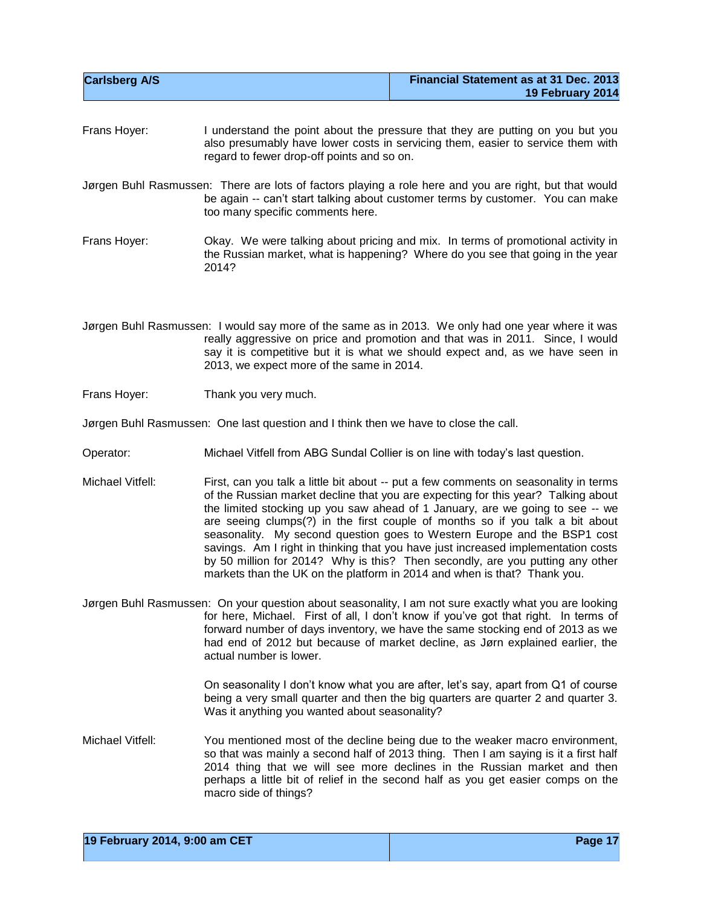| <b>Carlsberg A/S</b> | Financial Statement as at 31 Dec. 2013 |
|----------------------|----------------------------------------|
|                      | 19 February 2014                       |

Frans Hoyer: I understand the point about the pressure that they are putting on you but you also presumably have lower costs in servicing them, easier to service them with regard to fewer drop-off points and so on.

Jørgen Buhl Rasmussen: There are lots of factors playing a role here and you are right, but that would be again -- can't start talking about customer terms by customer. You can make too many specific comments here.

- Frans Hoyer: Okay. We were talking about pricing and mix. In terms of promotional activity in the Russian market, what is happening? Where do you see that going in the year 2014?
- Jørgen Buhl Rasmussen: I would say more of the same as in 2013. We only had one year where it was really aggressive on price and promotion and that was in 2011. Since, I would say it is competitive but it is what we should expect and, as we have seen in 2013, we expect more of the same in 2014.
- Frans Hoyer: Thank you very much.

Jørgen Buhl Rasmussen: One last question and I think then we have to close the call.

- Operator: Michael Vitfell from ABG Sundal Collier is on line with today's last question.
- Michael Vitfell: First, can you talk a little bit about -- put a few comments on seasonality in terms of the Russian market decline that you are expecting for this year? Talking about the limited stocking up you saw ahead of 1 January, are we going to see -- we are seeing clumps(?) in the first couple of months so if you talk a bit about seasonality. My second question goes to Western Europe and the BSP1 cost savings. Am I right in thinking that you have just increased implementation costs by 50 million for 2014? Why is this? Then secondly, are you putting any other markets than the UK on the platform in 2014 and when is that? Thank you.
- Jørgen Buhl Rasmussen: On your question about seasonality, I am not sure exactly what you are looking for here, Michael. First of all, I don't know if you've got that right. In terms of forward number of days inventory, we have the same stocking end of 2013 as we had end of 2012 but because of market decline, as Jørn explained earlier, the actual number is lower.

On seasonality I don't know what you are after, let's say, apart from Q1 of course being a very small quarter and then the big quarters are quarter 2 and quarter 3. Was it anything you wanted about seasonality?

Michael Vitfell: You mentioned most of the decline being due to the weaker macro environment, so that was mainly a second half of 2013 thing. Then I am saying is it a first half 2014 thing that we will see more declines in the Russian market and then perhaps a little bit of relief in the second half as you get easier comps on the macro side of things?